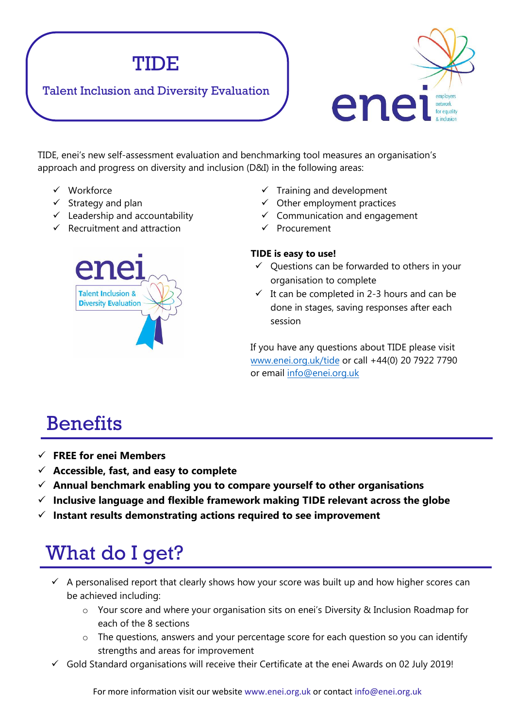

### Talent Inclusion and Diversity Evaluation



TIDE, enei's new self-assessment evaluation and benchmarking tool measures an organisation's approach and progress on diversity and inclusion (D&I) in the following areas:

- Workforce
- $\checkmark$  Strategy and plan
- $\checkmark$  Leadership and accountability
- $\checkmark$  Recruitment and attraction



- $\checkmark$  Training and development
- $\checkmark$  Other employment practices
- $\checkmark$  Communication and engagement
- $\checkmark$  Procurement

#### **TIDE is easy to use!**

- $\checkmark$  Questions can be forwarded to others in your organisation to complete
- $\checkmark$  It can be completed in 2-3 hours and can be done in stages, saving responses after each session

If you have any questions about TIDE please visit [www.enei.org.uk/tide](http://www.enei.org.uk/tide) or call +44(0) 20 7922 7790 or [email info@](mailto:Daniel.Keating@enei.org.uk)enei.org.uk

## **Benefits**

- **FREE for enei Members**
- **Accessible, fast, and easy to complete**
- **Annual benchmark enabling you to compare yourself to other organisations**
- **Inclusive language and flexible framework making TIDE relevant across the globe**
- **Instant results demonstrating actions required to see improvement**

## What do I get?

- $\checkmark$  A personalised report that clearly shows how your score was built up and how higher scores can be achieved including:
	- o Your score and where your organisation sits on enei's Diversity & Inclusion Roadmap for each of the 8 sections
	- o The questions, answers and your percentage score for each question so you can identify strengths and areas for improvement
- $\checkmark$  Gold Standard organisations will receive their Certificate at the enei Awards on 02 July 2019!